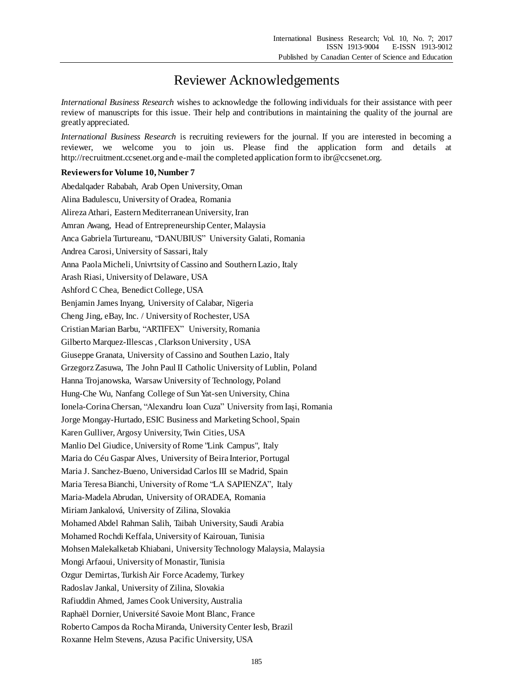## Reviewer Acknowledgements

*International Business Research* wishes to acknowledge the following individuals for their assistance with peer review of manuscripts for this issue. Their help and contributions in maintaining the quality of the journal are greatly appreciated.

*International Business Research* is recruiting reviewers for the journal. If you are interested in becoming a reviewer, we welcome you to join us. Please find the application form and details at http://recruitment.ccsenet.org and e-mail the completed application form to ibr@ccsenet.org.

## **Reviewers for Volume 10, Number 7**

Abedalqader Rababah, Arab Open University, Oman Alina Badulescu, University of Oradea, Romania Alireza Athari, Eastern Mediterranean University, Iran Amran Awang, Head of Entrepreneurship Center, Malaysia Anca Gabriela Turtureanu, "DANUBIUS" University Galati, Romania Andrea Carosi, University of Sassari, Italy Anna Paola Micheli, Univrtsity of Cassino and Southern Lazio, Italy Arash Riasi, University of Delaware, USA Ashford C Chea, Benedict College, USA Benjamin James Inyang, University of Calabar, Nigeria Cheng Jing, eBay, Inc. / University of Rochester, USA Cristian Marian Barbu, "ARTIFEX" University, Romania Gilberto Marquez-Illescas , Clarkson University , USA Giuseppe Granata, University of Cassino and Southen Lazio, Italy Grzegorz Zasuwa, The John Paul II Catholic University of Lublin, Poland Hanna Trojanowska, Warsaw University of Technology, Poland Hung-Che Wu, Nanfang College of Sun Yat-sen University, China Ionela-Corina Chersan, "Alexandru Ioan Cuza" University from Iași, Romania Jorge Mongay-Hurtado, ESIC Business and Marketing School, Spain Karen Gulliver, Argosy University, Twin Cities, USA Manlio Del Giudice, University of Rome "Link Campus", Italy Maria do Céu Gaspar Alves, University of Beira Interior, Portugal Maria J. Sanchez-Bueno, Universidad Carlos III se Madrid, Spain Maria Teresa Bianchi, University of Rome "LA SAPIENZA", Italy Maria-Madela Abrudan, University of ORADEA, Romania Miriam Jankalová, University of Zilina, Slovakia Mohamed Abdel Rahman Salih, Taibah University, Saudi Arabia Mohamed Rochdi Keffala, University of Kairouan, Tunisia Mohsen Malekalketab Khiabani, University Technology Malaysia, Malaysia Mongi Arfaoui, University of Monastir, Tunisia Ozgur Demirtas, Turkish Air Force Academy, Turkey Radoslav Jankal, University of Zilina, Slovakia Rafiuddin Ahmed, James Cook University, Australia Raphaël Dornier, Université Savoie Mont Blanc, France Roberto Campos da Rocha Miranda, University Center Iesb, Brazil Roxanne Helm Stevens, Azusa Pacific University, USA